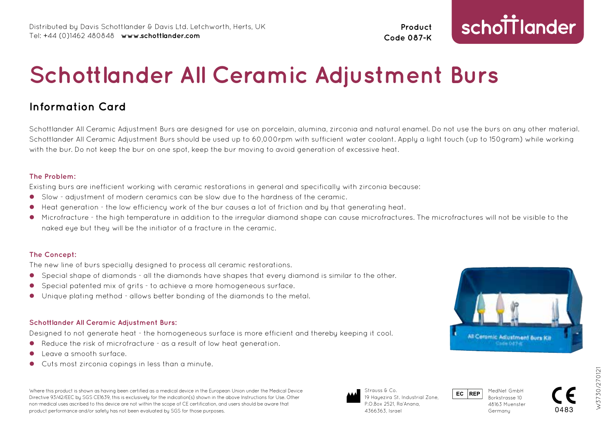**Product Code 087-K**

# schottlander

# **Schottlander All Ceramic Adjustment Burs**

# **Information Card**

Schottlander All Ceramic Adjustment Burs are designed for use on porcelain, alumina, zirconia and natural enamel. Do not use the burs on any other material. Schottlander All Ceramic Adjustment Burs should be used up to 60,000rpm with sufficient water coolant. Apply a light touch (up to 150 gram) while working with the bur. Do not keep the bur on one spot, keep the bur moving to avoid generation of excessive heat.

# **The Problem:**

Existing burs are inefficient working with ceramic restorations in general and specifically with zirconia because:

- l Slow adjustment of modern ceramics can be slow due to the hardness of the ceramic.
- Heat generation the low efficiency work of the bur causes a lot of friction and by that generating heat.
- l Microfracture the high temperature in addition to the irregular diamond shape can cause microfractures. The microfractures will not be visible to the naked eye but they will be the initiator of a fracture in the ceramic.

# **The Concept:**

The new line of burs specially designed to process all ceramic restorations.

- l Special shape of diamonds all the diamonds have shapes that every diamond is similar to the other.
- l Special patented mix of grits to achieve a more homogeneous surface.
- l Unique plating method allows better bonding of the diamonds to the metal.

# **Schottlander All Ceramic Adjustment Burs:**

Designed to not generate heat - the homogeneous surface is more efficient and thereby keeping it cool.

- $\bullet$  Reduce the risk of microfracture as a result of low heat generation.
- l Leave a smooth surface.
- Cuts most zirconia copings in less than a minute.

Where this product is shown as having been certified as a medical device in the European Union under the Medical Device Directive 93/42/EEC by SGS CE1639, this is exclusively for the indication(s) shown in the above Instructions for Use. Other non-medical uses ascribed to this device are not within the scope of CE certification, and users should be aware that product performance and/or safety has not been evaluated by SGS for those purposes.



0483



19 Hayezira St. Industrial Zone, P.O.Box 2521, Ra'Anana,



Borkstrasse 10 48163 Muenster **Germany**